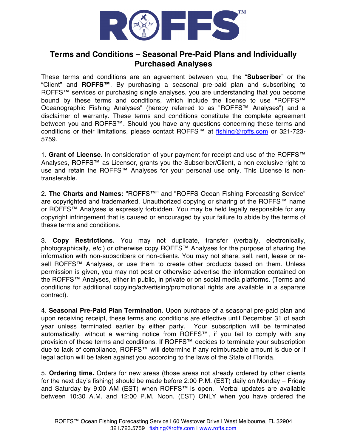

## **Terms and Conditions – Seasonal Pre-Paid Plans and Individually Purchased Analyses**

These terms and conditions are an agreement between you, the "**Subscriber**" or the "Client" and **ROFFS™**. By purchasing a seasonal pre-paid plan and subscribing to ROFFS™ services or purchasing single analyses, you are understanding that you become bound by these terms and conditions, which include the license to use "ROFFS™ Oceanographic Fishing Analyses" (hereby referred to as "ROFFS™ Analyses") and a disclaimer of warranty. These terms and conditions constitute the complete agreement between you and ROFFS™. Should you have any questions concerning these terms and conditions or their limitations, please contact ROFFS™ at fishing@roffs.com or 321-723- 5759.

1. **Grant of License.** In consideration of your payment for receipt and use of the ROFFS™ Analyses, ROFFS™ as Licensor, grants you the Subscriber/Client, a non-exclusive right to use and retain the ROFFS™ Analyses for your personal use only. This License is nontransferable.

2. **The Charts and Names:** "ROFFS™" and "ROFFS Ocean Fishing Forecasting Service" are copyrighted and trademarked. Unauthorized copying or sharing of the ROFFS™ name or ROFFS™ Analyses is expressly forbidden. You may be held legally responsible for any copyright infringement that is caused or encouraged by your failure to abide by the terms of these terms and conditions.

3. **Copy Restrictions.** You may not duplicate, transfer (verbally, electronically, photographically, *etc.*) or otherwise copy ROFFS™ Analyses for the purpose of sharing the information with non-subscribers or non-clients. You may not share, sell, rent, lease or resell ROFFS™ Analyses, or use them to create other products based on them. Unless permission is given, you may not post or otherwise advertise the information contained on the ROFFS™ Analyses, either in public, in private or on social media platforms. (Terms and conditions for additional copying/advertising/promotional rights are available in a separate contract).

4. **Seasonal Pre-Paid Plan Termination.** Upon purchase of a seasonal pre-paid plan and upon receiving receipt, these terms and conditions are effective until December 31 of each year unless terminated earlier by either party. Your subscription will be terminated automatically, without a warning notice from ROFFS™, if you fail to comply with any provision of these terms and conditions. If ROFFS™ decides to terminate your subscription due to lack of compliance, ROFFS™ will determine if any reimbursable amount is due or if legal action will be taken against you according to the laws of the State of Florida.

5. **Ordering time.** Orders for new areas (those areas not already ordered by other clients for the next day's fishing) should be made before 2:00 P.M. (EST) daily on Monday – Friday and Saturday by 9:00 AM (EST) when ROFFS™ is open. Verbal updates are available between 10:30 A.M. and 12:00 P.M. Noon. (EST) ONLY when you have ordered the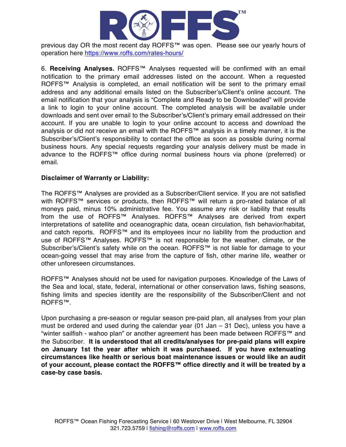

previous day OR the most recent day ROFFS™ was open. Please see our yearly hours of operation here https://www.roffs.com/rates-hours/

6. **Receiving Analyses.** ROFFS™ Analyses requested will be confirmed with an email notification to the primary email addresses listed on the account. When a requested ROFFS™ Analysis is completed, an email notification will be sent to the primary email address and any additional emails listed on the Subscriber's/Client's online account. The email notification that your analysis is "Complete and Ready to be Downloaded" will provide a link to login to your online account. The completed analysis will be available under downloads and sent over email to the Subscriber's/Client's primary email addressed on their account. If you are unable to login to your online account to access and download the analysis or did not receive an email with the ROFFS™ analysis in a timely manner, it is the Subscriber's/Client's responsibility to contact the office as soon as possible during normal business hours. Any special requests regarding your analysis delivery must be made in advance to the ROFFS™ office during normal business hours via phone (preferred) or email.

## **Disclaimer of Warranty or Liability:**

The ROFFS™ Analyses are provided as a Subscriber/Client service. If you are not satisfied with ROFFS™ services or products, then ROFFS™ will return a pro-rated balance of all moneys paid, minus 10% administrative fee. You assume any risk or liability that results from the use of ROFFS™ Analyses. ROFFS™ Analyses are derived from expert interpretations of satellite and oceanographic data, ocean circulation, fish behavior/habitat, and catch reports. ROFFS™ and its employees incur no liability from the production and use of ROFFS™ Analyses. ROFFS™ is not responsible for the weather, climate, or the Subscriber's/Client's safety while on the ocean. ROFFS™ is not liable for damage to your ocean-going vessel that may arise from the capture of fish, other marine life, weather or other unforeseen circumstances.

ROFFS™ Analyses should not be used for navigation purposes. Knowledge of the Laws of the Sea and local, state, federal, international or other conservation laws, fishing seasons, fishing limits and species identity are the responsibility of the Subscriber/Client and not ROFFS™.

Upon purchasing a pre-season or regular season pre-paid plan, all analyses from your plan must be ordered and used during the calendar year (01 Jan – 31 Dec), unless you have a "winter sailfish - wahoo plan" or another agreement has been made between ROFFS™ and the Subscriber. **It is understood that all credits/analyses for pre-paid plans will expire on January 1st the year after which it was purchased. If you have extenuating circumstances like health or serious boat maintenance issues or would like an audit of your account, please contact the ROFFS™ office directly and it will be treated by a case-by case basis.**